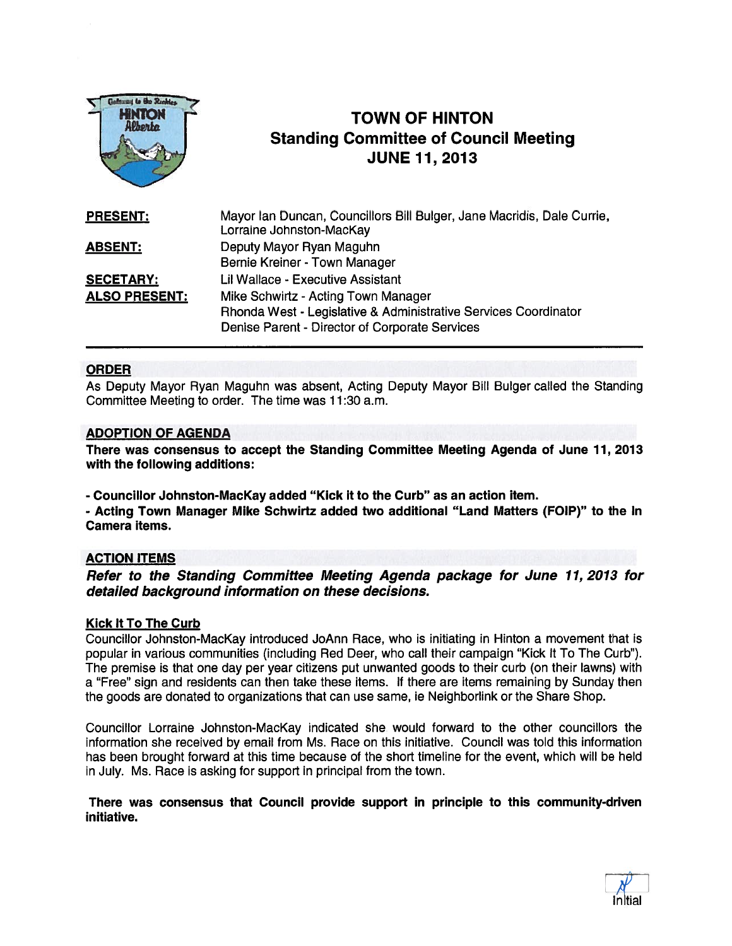

# **HINTON F TOWN OF HINTON** Standing Committee of Council Meeting JUNE 11, 2013

| <b>PRESENT:</b>      | Mayor Ian Duncan, Councillors Bill Bulger, Jane Macridis, Dale Currie.<br>Lorraine Johnston-MacKay |
|----------------------|----------------------------------------------------------------------------------------------------|
| <b>ABSENT:</b>       | Deputy Mayor Ryan Maguhn                                                                           |
|                      |                                                                                                    |
|                      | Bernie Kreiner - Town Manager                                                                      |
| <b>SECETARY:</b>     | Lil Wallace - Executive Assistant                                                                  |
| <b>ALSO PRESENT:</b> | Mike Schwirtz - Acting Town Manager                                                                |
|                      | Rhonda West - Legislative & Administrative Services Coordinator                                    |
|                      | Denise Parent - Director of Corporate Services                                                     |

#### ORDER

As Deputy Mayor Ryan Maguhn was absent, Acting Deputy Mayor Bill Bulger called the Standing Committee Meeting to order. The time was 11:30 a.m.

#### ADOPTION OF AGENDA

There was consensus to accep<sup>t</sup> the Standing Committee Meeting Agenda of June 11, 2013 with the following additions:

- Councillor Johnston-MacKay added "Kick it to the Curb" as an action item.

- Acting Town Manager Mike Schwirtz added two additional "Land Matters (FOIP)" to the In Camera items.

#### ACTION ITEMS

Refer to the Standing Committee Meeting Agenda package for June 11, 2013 for detailed background information on these decisions.

#### Kick It To The Curb

Councillor Johnston-MacKay introduced JoAnn Race, who is initiating in Hinton <sup>a</sup> movement that is popular in various communities (including Red Deer, who call their campaign "Kick It To The Curb"). The premise is that one day per year citizens pu<sup>t</sup> unwanted goods to their curb (on their lawns) with <sup>a</sup> "Free" sign and residents can then take these items. If there are items remaining by Sunday then the goods are donated to organizations that can use same, ie Neighborlink or the Share Shop.

Councillor Lorraine Johnston-MacKay indicated she would forward to the other councillors the information she received by email from Ms. Race on this initiative. Council was told this information has been brought forward at this time because of the short timeline for the event, which will be held in July. Ms. Race is asking for suppor<sup>t</sup> in principal from the town.

There was consensus that Council provide suppor<sup>t</sup> in principle to this community-driven initiative.

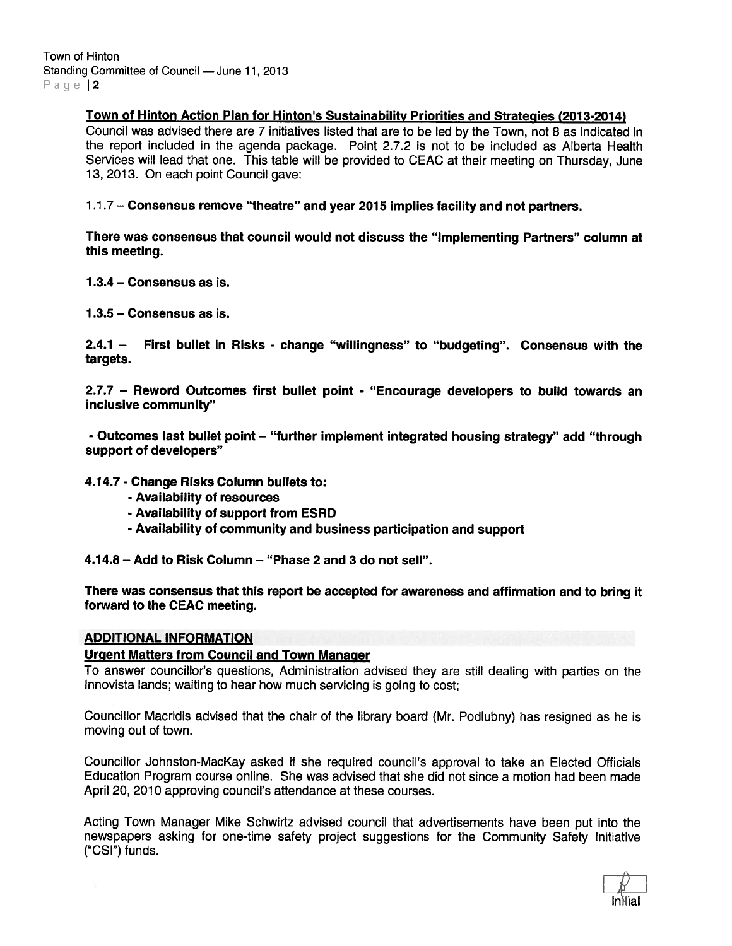#### Town of Hinton Action Plan for Hinton's Sustainability Priorities and Strategies (2013-2014)

Council was advised there are <sup>7</sup> initiatives listed that are to be led by the Town, not 8 as indicated in the repor<sup>t</sup> included in the agenda package. Point 2.7.2 is not to be included as Alberta Health Services will lead that one. This table will be provided to CEAC at their meeting on Thursday, June 13, 2013. On each point Council gave:

#### 1.1.7 — Consensus remove "theatre" and year 2015 implies facility and not partners.

There was consensus that council would not discuss the "Implementing Partners" column at this meeting.

1.3.4 — Consensus as is.

1.3.5 — Consensus as is.

2.4.1 — First bullet in Risks - change "willingness" to "budgeting". Consensus with the targets.

2.7.7 — Reword Outcomes first bullet point - "Encourage developers to build towards an inclusive community"

- Outcomes last bullet point — "further implement integrated housing strategy" add "through suppor<sup>t</sup> of developers"

#### 4.14.7 -Change Risks Column bullets to:

- Availability of resources
- Availability of suppor<sup>t</sup> from ESRD
- Availability of community and business participation and suppor<sup>t</sup>

4.14.8 — Add to Risk Column — "Phase 2 and 3 do not sell".

There was consensus that this repor<sup>t</sup> be accepted for awareness and affirmation and to bring it forward to the CEAC meeting.

#### ADDITIONAL INFORMATION

#### Urgent Matters from Council and Town Manager

To answer councillor's questions, Administration advised they are still dealing with parties on the Innovista lands; waiting to hear how much servicing is going to cost;

Councillor Macridis advised that the chair of the library board (Mr. Podlubny) has resigned as he is moving out of town.

Councillor Johnston-MacKay asked if she required council's approval to take an Elected Officials Education Program course online. She was advised that she did not since <sup>a</sup> motion had been made April 20, 2010 approving council's attendance at these courses.

Acting Town Manager Mike Schwirtz advised council that advertisements have been pu<sup>t</sup> into the newspapers asking for one-time safety project suggestions for the Community Safety Initiative ("CSI") funds.